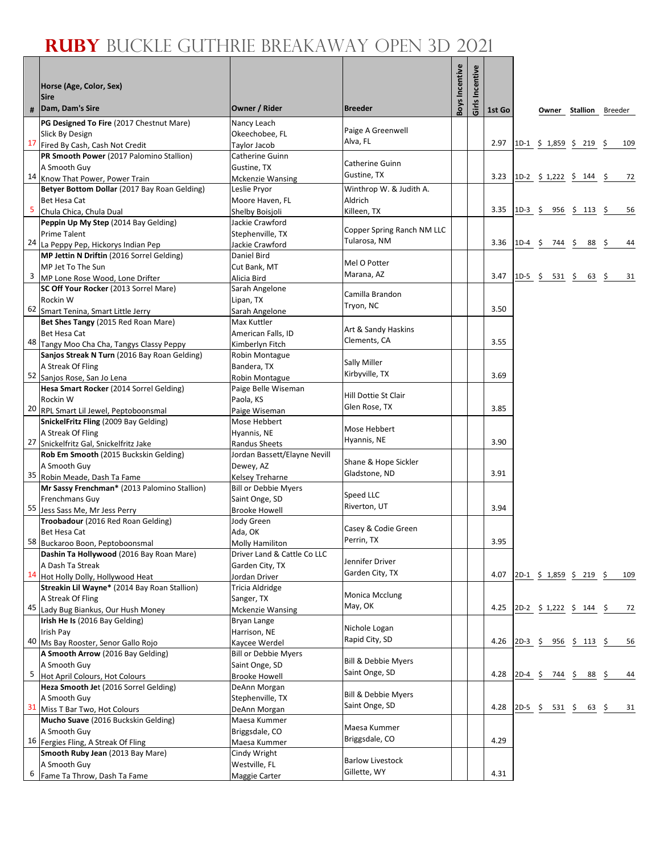|                         | Horse (Age, Color, Sex)<br><b>Sire</b>                                          |                                                |                               | Boys Incentive | Girls Incentive |        |           |                                                          |                               |     |
|-------------------------|---------------------------------------------------------------------------------|------------------------------------------------|-------------------------------|----------------|-----------------|--------|-----------|----------------------------------------------------------|-------------------------------|-----|
| #                       | Dam, Dam's Sire                                                                 | Owner / Rider                                  | <b>Breeder</b>                |                |                 | 1st Go |           |                                                          | <b>Owner Stallion</b> Breeder |     |
|                         | PG Designed To Fire (2017 Chestnut Mare)                                        | Nancy Leach                                    |                               |                |                 |        |           |                                                          |                               |     |
|                         | Slick By Design                                                                 | Okeechobee, FL                                 | Paige A Greenwell<br>Alva, FL |                |                 |        |           |                                                          |                               |     |
| 17                      | Fired By Cash, Cash Not Credit                                                  | Taylor Jacob                                   |                               |                |                 | 2.97   |           | $1D-1$ \$ 1,859 \$ 219 \$                                |                               | 109 |
|                         | PR Smooth Power (2017 Palomino Stallion)                                        | Catherine Guinn                                | Catherine Guinn               |                |                 |        |           |                                                          |                               |     |
|                         | A Smooth Guy<br>14 Know That Power, Power Train                                 | Gustine, TX                                    | Gustine, TX                   |                |                 | 3.23   |           | 1D-2 $\frac{1}{2}$ 1,222 $\frac{1}{2}$ 144 $\frac{1}{2}$ |                               | 72  |
|                         | Betyer Bottom Dollar (2017 Bay Roan Gelding)                                    | <b>Mckenzie Wansing</b><br>Leslie Pryor        | Winthrop W. & Judith A.       |                |                 |        |           |                                                          |                               |     |
|                         | Bet Hesa Cat                                                                    | Moore Haven, FL                                | Aldrich                       |                |                 |        |           |                                                          |                               |     |
| $\overline{\mathbf{5}}$ | Chula Chica, Chula Dual                                                         | Shelby Boisjoli                                | Killeen, TX                   |                |                 | 3.35   | $1D-3$ \$ |                                                          | $956 \div 113 \div$           | 56  |
|                         | Peppin Up My Step (2014 Bay Gelding)                                            | Jackie Crawford                                |                               |                |                 |        |           |                                                          |                               |     |
|                         | <b>Prime Talent</b>                                                             | Stephenville, TX                               | Copper Spring Ranch NM LLC    |                |                 |        |           |                                                          |                               |     |
|                         | 24 La Peppy Pep, Hickorys Indian Pep                                            | Jackie Crawford                                | Tularosa, NM                  |                |                 | 3.36   |           | $1D-4$ \$ 744 \$ 88 \$                                   |                               | 44  |
|                         | MP Jettin N Driftin (2016 Sorrel Gelding)                                       | Daniel Bird                                    | Mel O Potter                  |                |                 |        |           |                                                          |                               |     |
| 3                       | MP Jet To The Sun                                                               | Cut Bank, MT                                   | Marana, AZ                    |                |                 | 3.47   |           | 1D-5 \$ 531 \$ 63 \$                                     |                               | 31  |
|                         | MP Lone Rose Wood, Lone Drifter<br>SC Off Your Rocker (2013 Sorrel Mare)        | Alicia Bird<br>Sarah Angelone                  |                               |                |                 |        |           |                                                          |                               |     |
|                         | Rockin W                                                                        | Lipan, TX                                      | Camilla Brandon               |                |                 |        |           |                                                          |                               |     |
|                         | 62 Smart Tenina, Smart Little Jerry                                             | Sarah Angelone                                 | Tryon, NC                     |                |                 | 3.50   |           |                                                          |                               |     |
|                         | Bet Shes Tangy (2015 Red Roan Mare)                                             | Max Kuttler                                    |                               |                |                 |        |           |                                                          |                               |     |
|                         | Bet Hesa Cat                                                                    | American Falls, ID                             | Art & Sandy Haskins           |                |                 |        |           |                                                          |                               |     |
|                         | 48 Tangy Moo Cha Cha, Tangys Classy Peppy                                       | Kimberlyn Fitch                                | Clements, CA                  |                |                 | 3.55   |           |                                                          |                               |     |
|                         | Sanjos Streak N Turn (2016 Bay Roan Gelding)                                    | Robin Montague                                 | Sally Miller                  |                |                 |        |           |                                                          |                               |     |
|                         | A Streak Of Fling                                                               | Bandera, TX                                    | Kirbyville, TX                |                |                 | 3.69   |           |                                                          |                               |     |
|                         | 52 Sanjos Rose, San Jo Lena                                                     | Robin Montague                                 |                               |                |                 |        |           |                                                          |                               |     |
|                         | Hesa Smart Rocker (2014 Sorrel Gelding)<br>Rockin W                             | Paige Belle Wiseman<br>Paola, KS               | Hill Dottie St Clair          |                |                 |        |           |                                                          |                               |     |
|                         | 20 RPL Smart Lil Jewel, Peptoboonsmal                                           | Paige Wiseman                                  | Glen Rose, TX                 |                |                 | 3.85   |           |                                                          |                               |     |
|                         | SnickelFritz Fling (2009 Bay Gelding)                                           | Mose Hebbert                                   |                               |                |                 |        |           |                                                          |                               |     |
|                         | A Streak Of Fling                                                               | Hyannis, NE                                    | Mose Hebbert                  |                |                 |        |           |                                                          |                               |     |
|                         | 27 Snickelfritz Gal, Snickelfritz Jake                                          | Randus Sheets                                  | Hyannis, NE                   |                |                 | 3.90   |           |                                                          |                               |     |
|                         | Rob Em Smooth (2015 Buckskin Gelding)                                           | Jordan Bassett/Elayne Nevill                   | Shane & Hope Sickler          |                |                 |        |           |                                                          |                               |     |
|                         | A Smooth Guy                                                                    | Dewey, AZ                                      | Gladstone, ND                 |                |                 | 3.91   |           |                                                          |                               |     |
|                         | 35 Robin Meade, Dash Ta Fame<br>Mr Sassy Frenchman* (2013 Palomino Stallion)    | Kelsey Treharne<br><b>Bill or Debbie Myers</b> |                               |                |                 |        |           |                                                          |                               |     |
|                         | Frenchmans Guy                                                                  | Saint Onge, SD                                 | Speed LLC                     |                |                 |        |           |                                                          |                               |     |
|                         | 55 Jess Sass Me, Mr Jess Perry                                                  | <b>Brooke Howell</b>                           | Riverton, UT                  |                |                 | 3.94   |           |                                                          |                               |     |
|                         | Troobadour (2016 Red Roan Gelding)                                              | Jody Green                                     |                               |                |                 |        |           |                                                          |                               |     |
|                         | Bet Hesa Cat                                                                    | Ada, OK                                        | Casey & Codie Green           |                |                 |        |           |                                                          |                               |     |
|                         | 58 Buckaroo Boon, Peptoboonsmal                                                 | Molly Hamiliton                                | Perrin, TX                    |                |                 | 3.95   |           |                                                          |                               |     |
|                         | Dashin Ta Hollywood (2016 Bay Roan Mare)                                        | Driver Land & Cattle Co LLC                    | Jennifer Driver               |                |                 |        |           |                                                          |                               |     |
| 14                      | A Dash Ta Streak                                                                | Garden City, TX                                | Garden City, TX               |                |                 | 4.07   |           | 2D-1 \$ 1,859 \$ 219 \$                                  |                               | 109 |
|                         | Hot Holly Dolly, Hollywood Heat<br>Streakin Lil Wayne* (2014 Bay Roan Stallion) | Jordan Driver<br>Tricia Aldridge               |                               |                |                 |        |           |                                                          |                               |     |
|                         | A Streak Of Fling                                                               | Sanger, TX                                     | Monica Mcclung                |                |                 |        |           |                                                          |                               |     |
| 45                      | Lady Bug Biankus, Our Hush Money                                                | <b>Mckenzie Wansing</b>                        | May, OK                       |                |                 | 4.25   |           | 2D-2 \$ 1,222 \$ 144 \$                                  |                               | 72  |
|                         | Irish He Is (2016 Bay Gelding)                                                  | Bryan Lange                                    |                               |                |                 |        |           |                                                          |                               |     |
|                         | Irish Pay                                                                       | Harrison, NE                                   | Nichole Logan                 |                |                 |        |           |                                                          |                               |     |
| 40                      | Ms Bay Rooster, Senor Gallo Rojo                                                | Kaycee Werdel                                  | Rapid City, SD                |                |                 | 4.26   |           | $2D-3 \t5 956 \t5 113 \t5$                               |                               | 56  |
|                         | A Smooth Arrow (2016 Bay Gelding)                                               | <b>Bill or Debbie Myers</b>                    | Bill & Debbie Myers           |                |                 |        |           |                                                          |                               |     |
| 5                       | A Smooth Guy                                                                    | Saint Onge, SD                                 | Saint Onge, SD                |                |                 | 4.28   |           | $2D-4$ \$ 744 \$ 88 \$                                   |                               | 44  |
|                         | Hot April Colours, Hot Colours<br>Heza Smooth Jet (2016 Sorrel Gelding)         | <b>Brooke Howell</b><br>DeAnn Morgan           |                               |                |                 |        |           |                                                          |                               |     |
|                         | A Smooth Guy                                                                    | Stephenville, TX                               | Bill & Debbie Myers           |                |                 |        |           |                                                          |                               |     |
| 31                      | Miss T Bar Two, Hot Colours                                                     | DeAnn Morgan                                   | Saint Onge, SD                |                |                 | 4.28   | $2D-5$ \$ | 531 \$                                                   | 63 Ş                          | 31  |
|                         | Mucho Suave (2016 Buckskin Gelding)                                             | Maesa Kummer                                   |                               |                |                 |        |           |                                                          |                               |     |
|                         | A Smooth Guy                                                                    | Briggsdale, CO                                 | Maesa Kummer                  |                |                 |        |           |                                                          |                               |     |
|                         | 16 Fergies Fling, A Streak Of Fling                                             | Maesa Kummer                                   | Briggsdale, CO                |                |                 | 4.29   |           |                                                          |                               |     |
|                         | Smooth Ruby Jean (2013 Bay Mare)                                                | Cindy Wright                                   | <b>Barlow Livestock</b>       |                |                 |        |           |                                                          |                               |     |
| 6                       | A Smooth Guy<br>Fame Ta Throw, Dash Ta Fame                                     | Westville, FL<br>Maggie Carter                 | Gillette, WY                  |                |                 | 4.31   |           |                                                          |                               |     |
|                         |                                                                                 |                                                |                               |                |                 |        |           |                                                          |                               |     |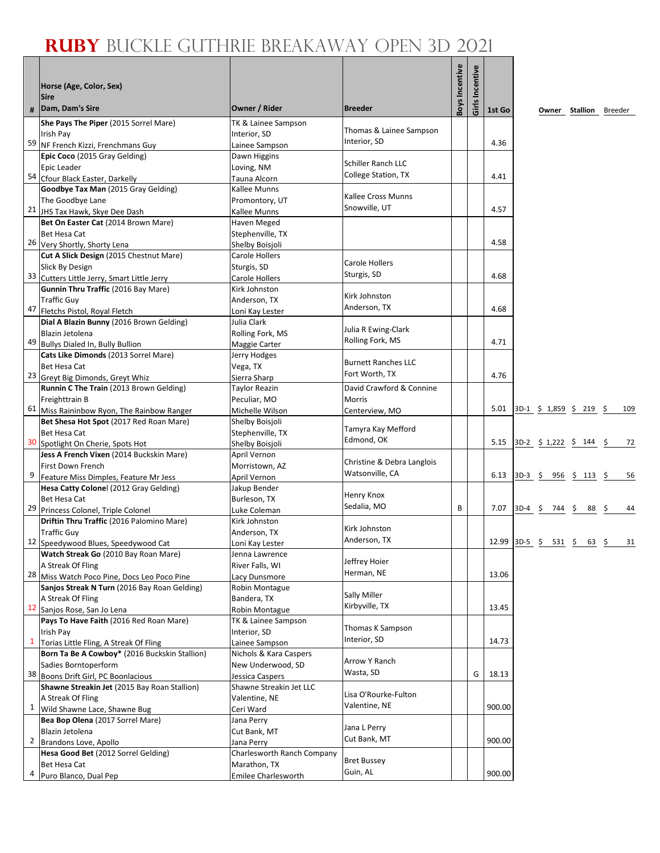| #              | Horse (Age, Color, Sex)<br><b>Sire</b><br>Dam, Dam's Sire                   | Owner / Rider                         | <b>Breeder</b>             | Boys Incentive | Girls Incentive | 1st Go        |                           | <b>Owner Stallion</b> Breeder |          |
|----------------|-----------------------------------------------------------------------------|---------------------------------------|----------------------------|----------------|-----------------|---------------|---------------------------|-------------------------------|----------|
|                | She Pays The Piper (2015 Sorrel Mare)                                       | TK & Lainee Sampson                   |                            |                |                 |               |                           |                               |          |
|                | Irish Pav                                                                   | Interior, SD                          | Thomas & Lainee Sampson    |                |                 |               |                           |                               |          |
|                | 59 NF French Kizzi, Frenchmans Guy                                          | Lainee Sampson                        | Interior, SD               |                |                 | 4.36          |                           |                               |          |
|                | Epic Coco (2015 Gray Gelding)                                               | Dawn Higgins                          |                            |                |                 |               |                           |                               |          |
|                | Epic Leader                                                                 | Loving, NM                            | Schiller Ranch LLC         |                |                 |               |                           |                               |          |
|                | 54 Cfour Black Easter, Darkelly                                             | Tauna Alcorn                          | College Station, TX        |                |                 | 4.41          |                           |                               |          |
|                | Goodbye Tax Man (2015 Gray Gelding)                                         | Kallee Munns                          |                            |                |                 |               |                           |                               |          |
|                | The Goodbye Lane                                                            | Promontory, UT                        | Kallee Cross Munns         |                |                 |               |                           |                               |          |
|                | 21 JHS Tax Hawk, Skye Dee Dash                                              | Kallee Munns                          | Snowville, UT              |                |                 | 4.57          |                           |                               |          |
|                | Bet On Easter Cat (2014 Brown Mare)                                         | Haven Meged                           |                            |                |                 |               |                           |                               |          |
|                | Bet Hesa Cat                                                                | Stephenville, TX                      |                            |                |                 |               |                           |                               |          |
|                | 26 Very Shortly, Shorty Lena                                                | Shelby Boisjoli                       |                            |                |                 | 4.58          |                           |                               |          |
|                | Cut A Slick Design (2015 Chestnut Mare)                                     | Carole Hollers                        |                            |                |                 |               |                           |                               |          |
|                | Slick By Design                                                             | Sturgis, SD                           | Carole Hollers             |                |                 |               |                           |                               |          |
| 33             | Cutters Little Jerry, Smart Little Jerry                                    | <b>Carole Hollers</b>                 | Sturgis, SD                |                |                 | 4.68          |                           |                               |          |
|                | Gunnin Thru Traffic (2016 Bay Mare)                                         | Kirk Johnston                         | Kirk Johnston              |                |                 |               |                           |                               |          |
|                | <b>Traffic Guy</b>                                                          | Anderson, TX                          | Anderson, TX               |                |                 |               |                           |                               |          |
| 47             | Fletchs Pistol, Royal Fletch                                                | Loni Kay Lester                       |                            |                |                 | 4.68          |                           |                               |          |
|                | Dial A Blazin Bunny (2016 Brown Gelding)                                    | Julia Clark                           | Julia R Ewing-Clark        |                |                 |               |                           |                               |          |
|                | Blazin Jetolena                                                             | Rolling Fork, MS                      | Rolling Fork, MS           |                |                 |               |                           |                               |          |
| 49             | Bullys Dialed In, Bully Bullion                                             | Maggie Carter                         |                            |                |                 | 4.71          |                           |                               |          |
|                | Cats Like Dimonds (2013 Sorrel Mare)                                        | Jerry Hodges                          | <b>Burnett Ranches LLC</b> |                |                 |               |                           |                               |          |
|                | Bet Hesa Cat                                                                | Vega, TX                              | Fort Worth, TX             |                |                 | 4.76          |                           |                               |          |
|                | 23 Greyt Big Dimonds, Greyt Whiz<br>Runnin C The Train (2013 Brown Gelding) | Sierra Sharp<br><b>Taylor Reazin</b>  | David Crawford & Connine   |                |                 |               |                           |                               |          |
|                | Freighttrain B                                                              | Peculiar, MO                          | <b>Morris</b>              |                |                 |               |                           |                               |          |
|                | 61 Miss Raininbow Ryon, The Rainbow Ranger                                  | Michelle Wilson                       | Centerview, MO             |                |                 | 5.01          | $3D-1$ \$ 1,859 \$ 219 \$ |                               | 109      |
|                | Bet Shesa Hot Spot (2017 Red Roan Mare)                                     | Shelby Boisjoli                       |                            |                |                 |               |                           |                               |          |
|                | Bet Hesa Cat                                                                | Stephenville, TX                      | Tamyra Kay Mefford         |                |                 |               |                           |                               |          |
|                | 30 Spotlight On Cherie, Spots Hot                                           | Shelby Boisjoli                       | Edmond, OK                 |                |                 | 5.15          | 3D-2 \$ 1,222 \$ 144 \$   |                               | 72       |
|                | Jess A French Vixen (2014 Buckskin Mare)                                    | April Vernon                          |                            |                |                 |               |                           |                               |          |
|                | First Down French                                                           | Morristown, AZ                        | Christine & Debra Langlois |                |                 |               |                           |                               |          |
| 9              | Feature Miss Dimples, Feature Mr Jess                                       | April Vernon                          | Watsonville, CA            |                |                 | 6.13          | $3D-3$ \$ 956 \$ 113 \$   |                               | 56       |
|                | Hesa Catty Colonel (2012 Gray Gelding)                                      | Jakup Bender                          |                            |                |                 |               |                           |                               |          |
|                | Bet Hesa Cat                                                                | Burleson, TX                          | Henry Knox                 |                |                 |               |                           |                               |          |
|                | 29 Princess Colonel, Triple Colonel                                         | Luke Coleman                          | Sedalia, MO                | В              |                 | 7.07          | $3D-4$ \$ 744 \$          | 88                            | 44<br>Ş. |
|                | Driftin Thru Traffic (2016 Palomino Mare)                                   | Kirk Johnston                         |                            |                |                 |               |                           |                               |          |
|                | <b>Traffic Guy</b>                                                          | Anderson, TX                          | Kirk Johnston              |                |                 |               |                           |                               |          |
|                | 12 Speedywood Blues, Speedywood Cat                                         | Loni Kay Lester                       | Anderson, TX               |                |                 | 12.99 3D-5 \$ | 531 \$                    | $63 \quad $5$                 | 31       |
|                | Watch Streak Go (2010 Bay Roan Mare)                                        | Jenna Lawrence                        | Jeffrey Hoier              |                |                 |               |                           |                               |          |
|                | A Streak Of Fling                                                           | River Falls, WI                       | Herman, NE                 |                |                 |               |                           |                               |          |
|                | 28 Miss Watch Poco Pine, Docs Leo Poco Pine                                 | Lacy Dunsmore                         |                            |                |                 | 13.06         |                           |                               |          |
|                | Sanjos Streak N Turn (2016 Bay Roan Gelding)                                | Robin Montague                        | Sally Miller               |                |                 |               |                           |                               |          |
|                | A Streak Of Fling<br>12 Sanjos Rose, San Jo Lena                            | Bandera, TX                           | Kirbyville, TX             |                |                 | 13.45         |                           |                               |          |
|                | Pays To Have Faith (2016 Red Roan Mare)                                     | Robin Montague<br>TK & Lainee Sampson |                            |                |                 |               |                           |                               |          |
|                | Irish Pay                                                                   | Interior, SD                          | Thomas K Sampson           |                |                 |               |                           |                               |          |
| $\mathbf{1}$   | Torias Little Fling, A Streak Of Fling                                      | Lainee Sampson                        | Interior, SD               |                |                 | 14.73         |                           |                               |          |
|                | Born Ta Be A Cowboy* (2016 Buckskin Stallion)                               | Nichols & Kara Caspers                |                            |                |                 |               |                           |                               |          |
|                | Sadies Borntoperform                                                        | New Underwood, SD                     | Arrow Y Ranch              |                |                 |               |                           |                               |          |
|                | 38 Boons Drift Girl, PC Boonlacious                                         | Jessica Caspers                       | Wasta, SD                  |                | G               | 18.13         |                           |                               |          |
|                | Shawne Streakin Jet (2015 Bay Roan Stallion)                                | Shawne Streakin Jet LLC               |                            |                |                 |               |                           |                               |          |
|                | A Streak Of Fling                                                           | Valentine, NE                         | Lisa O'Rourke-Fulton       |                |                 |               |                           |                               |          |
| 1              | Wild Shawne Lace, Shawne Bug                                                | Ceri Ward                             | Valentine, NE              |                |                 | 900.00        |                           |                               |          |
|                | Bea Bop Olena (2017 Sorrel Mare)                                            | Jana Perry                            |                            |                |                 |               |                           |                               |          |
|                | Blazin Jetolena                                                             | Cut Bank, MT                          | Jana L Perry               |                |                 |               |                           |                               |          |
| $\overline{2}$ | Brandons Love, Apollo                                                       | Jana Perry                            | Cut Bank, MT               |                |                 | 900.00        |                           |                               |          |
|                | Hesa Good Bet (2012 Sorrel Gelding)                                         | Charlesworth Ranch Company            | <b>Bret Bussey</b>         |                |                 |               |                           |                               |          |
|                | Bet Hesa Cat                                                                | Marathon, TX                          | Guin, AL                   |                |                 |               |                           |                               |          |
| 4              | Puro Blanco, Dual Pep                                                       | Emilee Charlesworth                   |                            |                |                 | 900.00        |                           |                               |          |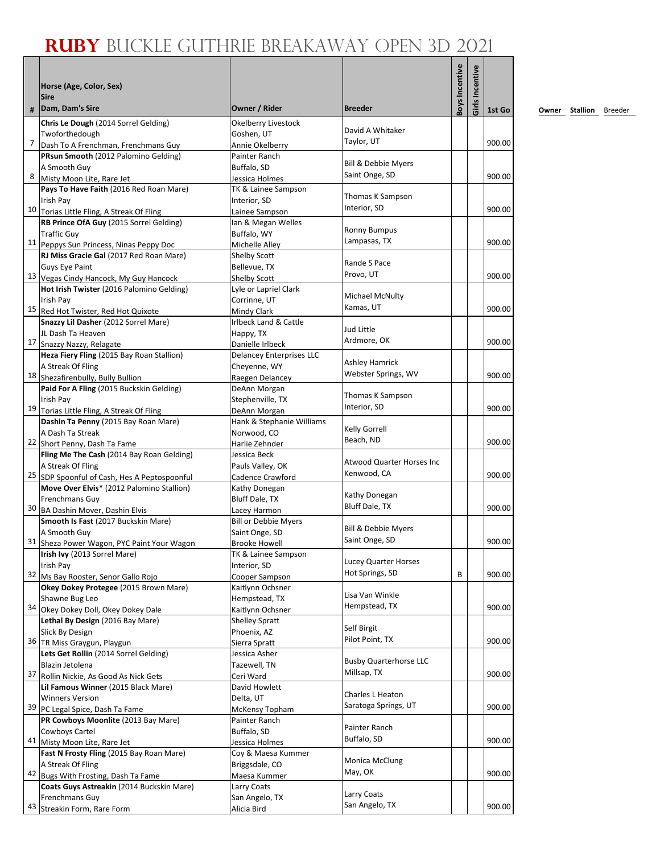|    |                                                                                   |                                           |                                | Boys Incentive |           |        |
|----|-----------------------------------------------------------------------------------|-------------------------------------------|--------------------------------|----------------|-----------|--------|
|    | Horse (Age, Color, Sex)<br><b>Sire</b>                                            |                                           |                                |                | Incentive |        |
| #  | Dam, Dam's Sire                                                                   | Owner / Rider                             | <b>Breeder</b>                 |                | Girls     | 1st Go |
|    | Chris Le Dough (2014 Sorrel Gelding)                                              | <b>Okelberry Livestock</b>                |                                |                |           |        |
|    | Twoforthedough                                                                    | Goshen, UT                                | David A Whitaker<br>Taylor, UT |                |           |        |
| 7  | Dash To A Frenchman, Frenchmans Guy                                               | Annie Okelberry                           |                                |                |           | 900.00 |
|    | PRsun Smooth (2012 Palomino Gelding)<br>A Smooth Guy                              | Painter Ranch<br>Buffalo, SD              | Bill & Debbie Myers            |                |           |        |
|    | 8 Misty Moon Lite, Rare Jet                                                       | Jessica Holmes                            | Saint Onge, SD                 |                |           | 900.00 |
|    | Pays To Have Faith (2016 Red Roan Mare)                                           | TK & Lainee Sampson                       |                                |                |           |        |
|    | Irish Pay                                                                         | Interior, SD                              | Thomas K Sampson               |                |           |        |
|    | 10 Torias Little Fling, A Streak Of Fling                                         | Lainee Sampson                            | Interior, SD                   |                |           | 900.00 |
|    | RB Prince OfA Guy (2015 Sorrel Gelding)                                           | Ian & Megan Welles                        | <b>Ronny Bumpus</b>            |                |           |        |
|    | <b>Traffic Guv</b><br>11 Peppys Sun Princess, Ninas Peppy Doc                     | Buffalo, WY<br>Michelle Alley             | Lampasas, TX                   |                |           | 900.00 |
|    | RJ Miss Gracie Gal (2017 Red Roan Mare)                                           | Shelby Scott                              |                                |                |           |        |
|    | <b>Guys Eye Paint</b>                                                             | Bellevue, TX                              | Rande S Pace                   |                |           |        |
|    | 13 Vegas Cindy Hancock, My Guy Hancock                                            | Shelby Scott                              | Provo, UT                      |                |           | 900.00 |
|    | Hot Irish Twister (2016 Palomino Gelding)                                         | Lyle or Lapriel Clark                     |                                |                |           |        |
|    | Irish Pay                                                                         | Corrinne, UT                              | Michael McNulty<br>Kamas, UT   |                |           | 900.00 |
|    | 15 Red Hot Twister, Red Hot Quixote                                               | Mindy Clark                               |                                |                |           |        |
|    | Snazzy Lil Dasher (2012 Sorrel Mare)<br>JL Dash Ta Heaven                         | Irlbeck Land & Cattle<br>Happy, TX        | Jud Little                     |                |           |        |
|    | 17 Snazzy Nazzy, Relagate                                                         | Danielle Irlbeck                          | Ardmore, OK                    |                |           | 900.00 |
|    | Heza Fiery Fling (2015 Bay Roan Stallion)                                         | <b>Delancey Enterprises LLC</b>           |                                |                |           |        |
|    | A Streak Of Fling                                                                 | Chevenne, WY                              | <b>Ashley Hamrick</b>          |                |           |        |
|    | 18 Shezafirenbully, Bully Bullion                                                 | Raegen Delancey                           | Webster Springs, WV            |                |           | 900.00 |
|    | Paid For A Fling (2015 Buckskin Gelding)                                          | DeAnn Morgan                              | Thomas K Sampson               |                |           |        |
|    | Irish Pay                                                                         | Stephenville, TX                          | Interior, SD                   |                |           | 900.00 |
|    | 19 Torias Little Fling, A Streak Of Fling<br>Dashin Ta Penny (2015 Bay Roan Mare) | DeAnn Morgan<br>Hank & Stephanie Williams |                                |                |           |        |
|    | A Dash Ta Streak                                                                  | Norwood, CO                               | Kelly Gorrell                  |                |           |        |
|    | 22 Short Penny, Dash Ta Fame                                                      | Harlie Zehnder                            | Beach, ND                      |                |           | 900.00 |
|    | Fling Me The Cash (2014 Bay Roan Gelding)                                         | Jessica Beck                              |                                |                |           |        |
|    | A Streak Of Fling                                                                 | Pauls Valley, OK                          | Atwood Quarter Horses Inc      |                |           |        |
|    | 25 SDP Spoonful of Cash, Hes A Peptospoonful                                      | Cadence Crawford                          | Kenwood, CA                    |                |           | 900.00 |
|    | Move Over Elvis* (2012 Palomino Stallion)                                         | Kathy Donegan                             | Kathy Donegan                  |                |           |        |
|    | Frenchmans Guy<br>30 BA Dashin Mover, Dashin Elvis                                | Bluff Dale, TX<br>Lacey Harmon            | Bluff Dale, TX                 |                |           | 900.00 |
|    | Smooth Is Fast (2017 Buckskin Mare)                                               | <b>Bill or Debbie Myers</b>               |                                |                |           |        |
|    | A Smooth Guy                                                                      | Saint Onge, SD                            | <b>Bill &amp; Debbie Myers</b> |                |           |        |
|    | 31 Sheza Power Wagon, PYC Paint Your Wagon                                        | <b>Brooke Howell</b>                      | Saint Onge, SD                 |                |           | 900.00 |
|    | Irish Ivy (2013 Sorrel Mare)                                                      | TK & Lainee Sampson                       | <b>Lucey Quarter Horses</b>    |                |           |        |
|    | Irish Pay                                                                         | Interior, SD                              | Hot Springs, SD                | B              |           | 900.00 |
|    | 32 Ms Bay Rooster, Senor Gallo Rojo<br>Okey Dokey Protegee (2015 Brown Mare)      | Cooper Sampson<br>Kaitlynn Ochsner        |                                |                |           |        |
|    | Shawne Bug Leo                                                                    | Hempstead, TX                             | Lisa Van Winkle                |                |           |        |
|    | 34 Okey Dokey Doll, Okey Dokey Dale                                               | Kaitlynn Ochsner                          | Hempstead, TX                  |                |           | 900.00 |
|    | Lethal By Design (2016 Bay Mare)                                                  | <b>Shelley Spratt</b>                     |                                |                |           |        |
|    | Slick By Design                                                                   | Phoenix, AZ                               | Self Birgit                    |                |           |        |
|    | 36 TR Miss Graygun, Playgun                                                       | Sierra Spratt                             | Pilot Point, TX                |                |           | 900.00 |
|    | Lets Get Rollin (2014 Sorrel Gelding)                                             | Jessica Asher                             | <b>Busby Quarterhorse LLC</b>  |                |           |        |
|    | Blazin Jetolena<br>37 Rollin Nickie, As Good As Nick Gets                         | Tazewell, TN<br>Ceri Ward                 | Millsap, TX                    |                |           | 900.00 |
|    | Lil Famous Winner (2015 Black Mare)                                               | David Howlett                             |                                |                |           |        |
|    | <b>Winners Version</b>                                                            | Delta, UT                                 | Charles L Heaton               |                |           |        |
|    | 39 PC Legal Spice, Dash Ta Fame                                                   | McKensy Topham                            | Saratoga Springs, UT           |                |           | 900.00 |
|    | PR Cowboys Moonlite (2013 Bay Mare)                                               | Painter Ranch                             |                                |                |           |        |
|    | Cowboys Cartel                                                                    | Buffalo, SD                               | Painter Ranch<br>Buffalo, SD   |                |           |        |
|    | 41 Misty Moon Lite, Rare Jet                                                      | Jessica Holmes                            |                                |                |           | 900.00 |
|    | Fast N Frosty Fling (2015 Bay Roan Mare)<br>A Streak Of Fling                     | Coy & Maesa Kummer<br>Briggsdale, CO      | <b>Monica McClung</b>          |                |           |        |
| 42 | Bugs With Frosting, Dash Ta Fame                                                  | Maesa Kummer                              | May, OK                        |                |           | 900.00 |
|    | Coats Guys Astreakin (2014 Buckskin Mare)                                         | Larry Coats                               |                                |                |           |        |
|    | Frenchmans Guy                                                                    | San Angelo, TX                            | Larry Coats                    |                |           |        |
|    | 43 Streakin Form, Rare Form                                                       | Alicia Bird                               | San Angelo, TX                 |                |           | 900.00 |

**<u>Owner</u> Stallion Breeder**